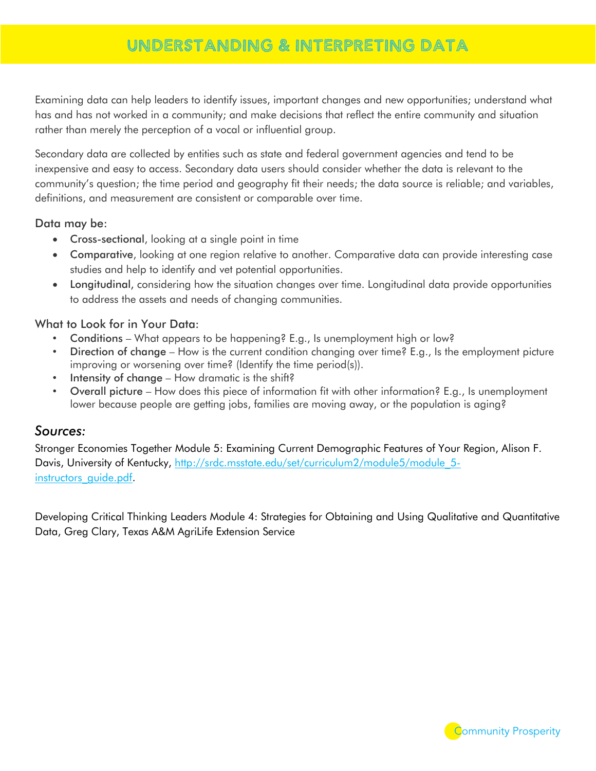# UNDERSTANDING & INTERPRETING DATA

Examining data can help leaders to identify issues, important changes and new opportunities; understand what has and has not worked in a community; and make decisions that reflect the entire community and situation rather than merely the perception of a vocal or influential group.

Secondary data are collected by entities such as state and federal government agencies and tend to be inexpensive and easy to access. Secondary data users should consider whether the data is relevant to the community's question; the time period and geography fit their needs; the data source is reliable; and variables, definitions, and measurement are consistent or comparable over time.

#### Data may be:

- Cross-sectional, looking at a single point in time
- Comparative, looking at one region relative to another. Comparative data can provide interesting case studies and help to identify and vet potential opportunities.
- Longitudinal, considering how the situation changes over time. Longitudinal data provide opportunities to address the assets and needs of changing communities.

#### What to Look for in Your Data:

- Conditions What appears to be happening? E.g., Is unemployment high or low?
- Direction of change How is the current condition changing over time? E.g., Is the employment picture improving or worsening over time? (Identify the time period(s)).
- Intensity of change How dramatic is the shift?
- Overall picture How does this piece of information fit with other information? E.g., Is unemployment lower because people are getting jobs, families are moving away, or the population is aging?

#### *Sources:*

Stronger Economies Together Module 5: Examining Current Demographic Features of Your Region, Alison F. Davis, University of Kentucky, http://srdc.msstate.edu/set/curriculum2/module5/module 5instructors\_quide.pdf.

Developing Critical Thinking Leaders Module 4: Strategies for Obtaining and Using Qualitative and Quantitative Data, Greg Clary, Texas A&M AgriLife Extension Service

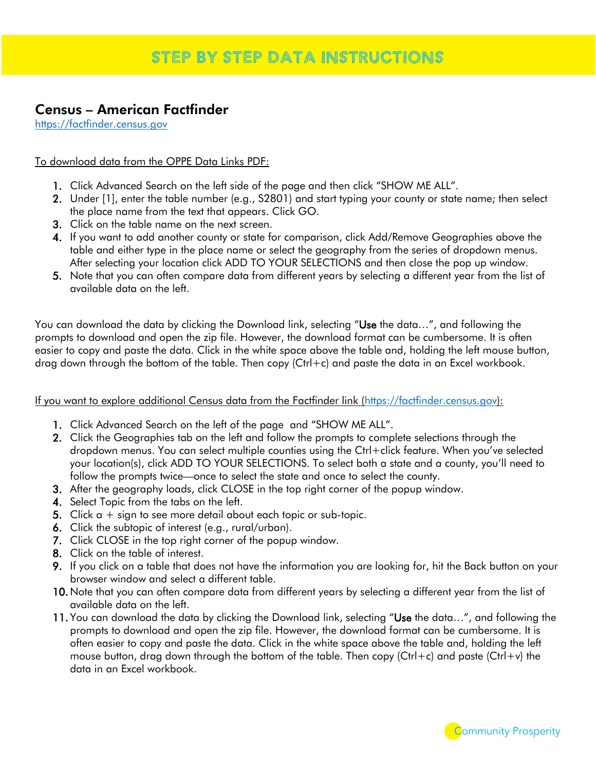## Census – American Factfinder

[https://factfinder.census.gov](https://factfinder.census.gov/)

#### To download data from the OPPE Data Links PDF:

- 1. Click Advanced Search on the left side of the page and then click "SHOW ME ALL".
- 2. Under [1], enter the table number (e.g., S2801) and start typing your county or state name; then select the place name from the text that appears. Click GO.
- 3. Click on the table name on the next screen.
- 4. If you want to add another county or state for comparison, click Add/Remove Geographies above the table and either type in the place name or select the geography from the series of dropdown menus. After selecting your location click ADD TO YOUR SELECTIONS and then close the pop up window.
- 5. Note that you can often compare data from different years by selecting a different year from the list of available data on the left.

You can download the data by clicking the Download link, selecting "Use the data...", and following the prompts to download and open the zip file. However, the download format can be cumbersome. It is often easier to copy and paste the data. Click in the white space above the table and, holding the left mouse button, drag down through the bottom of the table. Then copy (Ctrl+c) and paste the data in an Excel workbook.

If you want to explore additional Census data from the Factfinder link [\(https://factfinder.census.gov\)](https://factfinder.census.gov/):

- 1. Click Advanced Search on the left of the page and "SHOW ME ALL".
- 2. Click the Geographies tab on the left and follow the prompts to complete selections through the dropdown menus. You can select multiple counties using the Ctrl+click feature. When you've selected your location(s), click ADD TO YOUR SELECTIONS. To select both a state and a county, you'll need to follow the prompts twice—once to select the state and once to select the county.
- 3. After the geography loads, click CLOSE in the top right corner of the popup window.
- 4. Select Topic from the tabs on the left.
- **5.** Click  $a + sign$  to see more detail about each topic or sub-topic.
- 6. Click the subtopic of interest (e.g., rural/urban).
- 7. Click CLOSE in the top right corner of the popup window.
- 8. Click on the table of interest.
- 9. If you click on a table that does not have the information you are looking for, hit the Back button on your browser window and select a different table.
- 10. Note that you can often compare data from different years by selecting a different year from the list of available data on the left.
- 11. You can download the data by clicking the Download link, selecting "Use the data...", and following the prompts to download and open the zip file. However, the download format can be cumbersome. It is often easier to copy and paste the data. Click in the white space above the table and, holding the left mouse button, drag down through the bottom of the table. Then copy (Ctrl+c) and paste (Ctrl+v) the data in an Excel workbook.

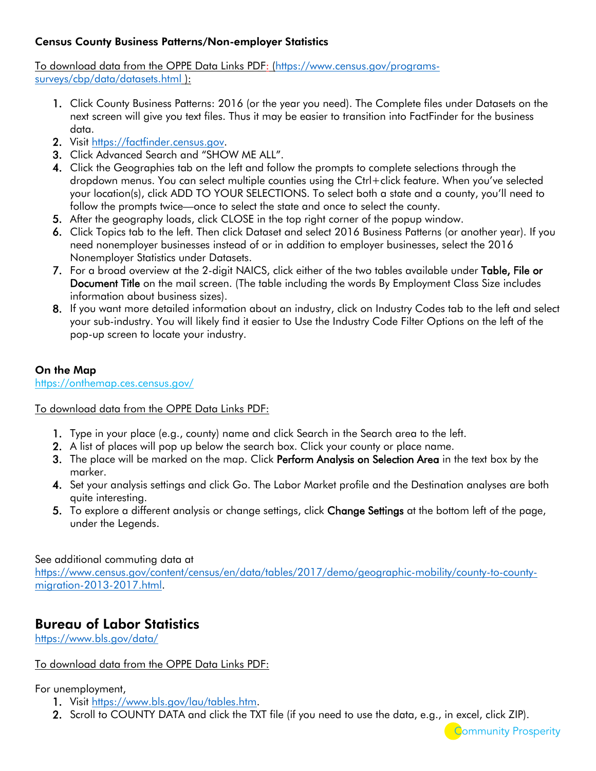#### Census County Business Patterns/Non-employer Statistics

To download data from the OPPE Data Links PDF: [\(https://www.census.gov/programs](https://www.census.gov/programs-surveys/cbp/data/datasets.html)[surveys/cbp/data/datasets.html](https://www.census.gov/programs-surveys/cbp/data/datasets.html) ):

- 1. Click County Business Patterns: 2016 (or the year you need). The Complete files under Datasets on the next screen will give you text files. Thus it may be easier to transition into FactFinder for the business data.
- 2. Visit [https://factfinder.census.gov.](https://factfinder.census.gov/)
- 3. Click Advanced Search and "SHOW ME ALL".
- 4. Click the Geographies tab on the left and follow the prompts to complete selections through the dropdown menus. You can select multiple counties using the Ctrl+click feature. When you've selected your location(s), click ADD TO YOUR SELECTIONS. To select both a state and a county, you'll need to follow the prompts twice—once to select the state and once to select the county.
- 5. After the geography loads, click CLOSE in the top right corner of the popup window.
- 6. Click Topics tab to the left. Then click Dataset and select 2016 Business Patterns (or another year). If you need nonemployer businesses instead of or in addition to employer businesses, select the 2016 Nonemployer Statistics under Datasets.
- 7. For a broad overview at the 2-digit NAICS, click either of the two tables available under Table, File or Document Title on the mail screen. (The table including the words By Employment Class Size includes information about business sizes).
- 8. If you want more detailed information about an industry, click on Industry Codes tab to the left and select your sub-industry. You will likely find it easier to Use the Industry Code Filter Options on the left of the pop-up screen to locate your industry.

#### On the Map

<https://onthemap.ces.census.gov/>

#### To download data from the OPPE Data Links PDF:

- 1. Type in your place (e.g., county) name and click Search in the Search area to the left.
- 2. A list of places will pop up below the search box. Click your county or place name.
- 3. The place will be marked on the map. Click Perform Analysis on Selection Area in the text box by the marker.
- 4. Set your analysis settings and click Go. The Labor Market profile and the Destination analyses are both quite interesting.
- 5. To explore a different analysis or change settings, click Change Settings at the bottom left of the page, under the Legends.

See additional commuting data at

[https://www.census.gov/content/census/en/data/tables/2017/demo/geographic-mobility/county-to-county](https://www.census.gov/content/census/en/data/tables/2017/demo/geographic-mobility/county-to-county-migration-2013-2017.html)[migration-2013-2017.html.](https://www.census.gov/content/census/en/data/tables/2017/demo/geographic-mobility/county-to-county-migration-2013-2017.html)

### Bureau of Labor Statistics

<https://www.bls.gov/data/>

#### To download data from the OPPE Data Links PDF:

#### For unemployment,

- 1. Visit [https://www.bls.gov/lau/tables.htm.](https://www.bls.gov/lau/tables.htm)
- 2. Scroll to COUNTY DATA and click the TXT file (if you need to use the data, e.g., in excel, click ZIP).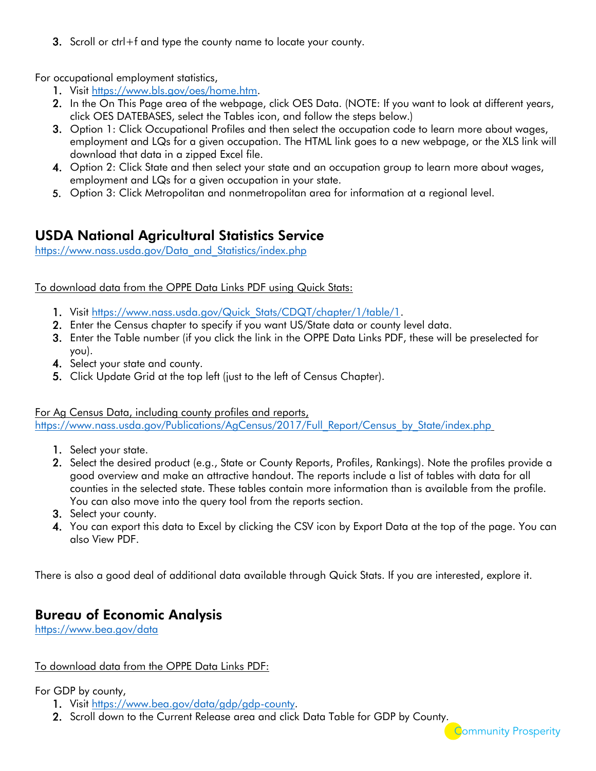3. Scroll or ctrl+f and type the county name to locate your county.

For occupational employment statistics,

- 1. Visit [https://www.bls.gov/oes/home.htm.](https://www.bls.gov/oes/home.htm)
- 2. In the On This Page area of the webpage, click OES Data. (NOTE: If you want to look at different years, click OES DATEBASES, select the Tables icon, and follow the steps below.)
- 3. Option 1: Click Occupational Profiles and then select the occupation code to learn more about wages, employment and LQs for a given occupation. The HTML link goes to a new webpage, or the XLS link will download that data in a zipped Excel file.
- 4. Option 2: Click State and then select your state and an occupation group to learn more about wages, employment and LQs for a given occupation in your state.
- 5. Option 3: Click Metropolitan and nonmetropolitan area for information at a regional level.

### USDA National Agricultural Statistics Service

[https://www.nass.usda.gov/Data\\_and\\_Statistics/index.php](https://www.nass.usda.gov/Data_and_Statistics/index.php)

To download data from the OPPE Data Links PDF using Quick Stats:

- 1. Visit [https://www.nass.usda.gov/Quick\\_Stats/CDQT/chapter/1/table/1.](https://www.nass.usda.gov/Quick_Stats/CDQT/chapter/1/table/1)
- 2. Enter the Census chapter to specify if you want US/State data or county level data.
- 3. Enter the Table number (if you click the link in the OPPE Data Links PDF, these will be preselected for you).
- 4. Select your state and county.
- 5. Click Update Grid at the top left (just to the left of Census Chapter).

For Ag Census Data, including county profiles and reports,

[https://www.nass.usda.gov/Publications/AgCensus/2017/Full\\_Report/Census\\_by\\_State/index.php](https://www.nass.usda.gov/Publications/AgCensus/2017/Full_Report/Census_by_State/index.php)

- 1. Select your state.
- 2. Select the desired product (e.g., State or County Reports, Profiles, Rankings). Note the profiles provide a good overview and make an attractive handout. The reports include a list of tables with data for all counties in the selected state. These tables contain more information than is available from the profile. You can also move into the query tool from the reports section.
- 3. Select your county.
- 4. You can export this data to Excel by clicking the CSV icon by Export Data at the top of the page. You can also View PDF.

**Community Prosperity** 

There is also a good deal of additional data available through Quick Stats. If you are interested, explore it.

### Bureau of Economic Analysis

<https://www.bea.gov/data>

#### To download data from the OPPE Data Links PDF:

For GDP by county,

- 1. Visit [https://www.bea.gov/data/gdp/gdp-county.](https://www.bea.gov/data/gdp/gdp-county)
- 2. Scroll down to the Current Release area and click Data Table for GDP by County.